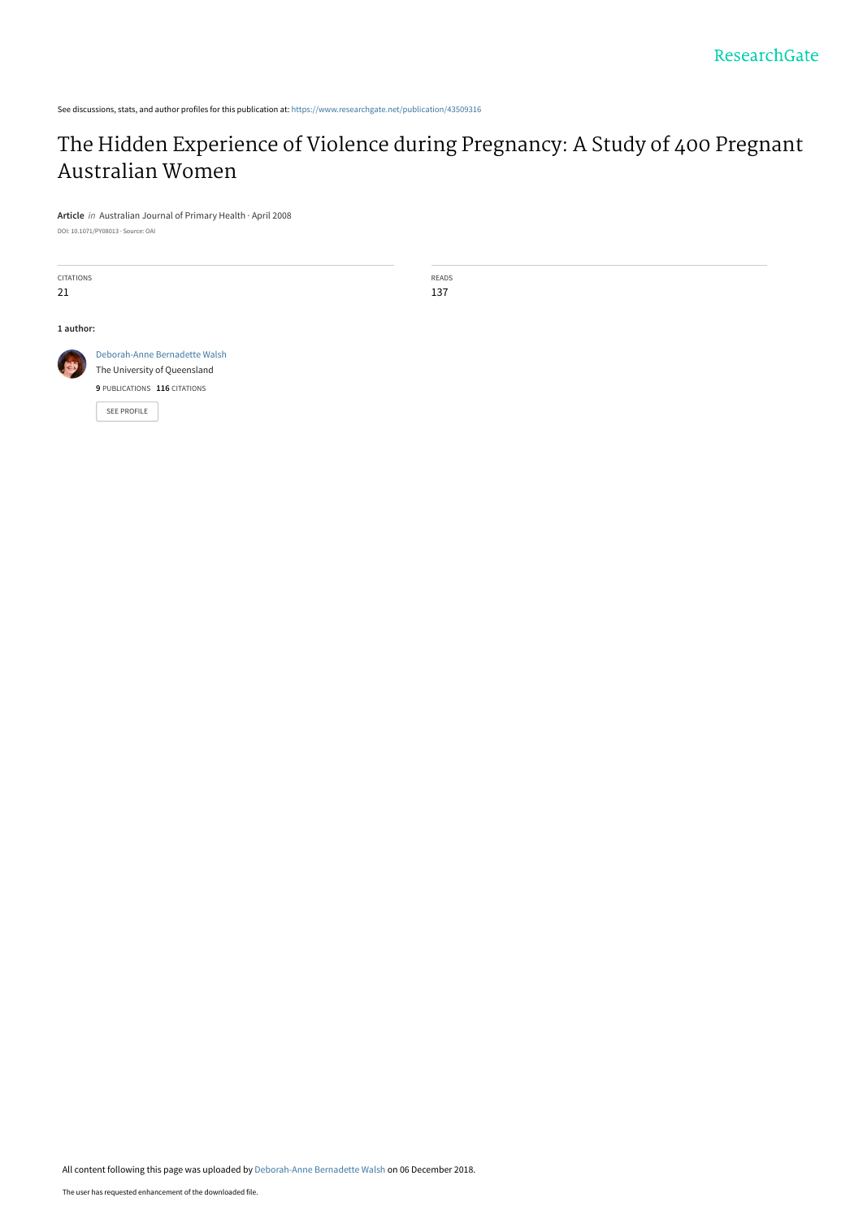See discussions, stats, and author profiles for this publication at: [https://www.researchgate.net/publication/43509316](https://www.researchgate.net/publication/43509316_The_Hidden_Experience_of_Violence_during_Pregnancy_A_Study_of_400_Pregnant_Australian_Women?enrichId=rgreq-4099a524d04a8a41bf24f0e9ad0975c5-XXX&enrichSource=Y292ZXJQYWdlOzQzNTA5MzE2O0FTOjcwMDYzMTg0NTE5OTg3MkAxNTQ0MDU1MDU3ODMw&el=1_x_2&_esc=publicationCoverPdf)

# [The Hidden Experience of Violence during Pregnancy: A Study of 400 Pregnant](https://www.researchgate.net/publication/43509316_The_Hidden_Experience_of_Violence_during_Pregnancy_A_Study_of_400_Pregnant_Australian_Women?enrichId=rgreq-4099a524d04a8a41bf24f0e9ad0975c5-XXX&enrichSource=Y292ZXJQYWdlOzQzNTA5MzE2O0FTOjcwMDYzMTg0NTE5OTg3MkAxNTQ0MDU1MDU3ODMw&el=1_x_3&_esc=publicationCoverPdf) Australian Women

**Article** in Australian Journal of Primary Health · April 2008

DOI: 10.1071/PY08013 · Source: OAI

CITATIONS 21

READS 137

**1 author:**

[Deborah-Anne Bernadette Walsh](https://www.researchgate.net/profile/Deborah-Anne-Walsh?enrichId=rgreq-4099a524d04a8a41bf24f0e9ad0975c5-XXX&enrichSource=Y292ZXJQYWdlOzQzNTA5MzE2O0FTOjcwMDYzMTg0NTE5OTg3MkAxNTQ0MDU1MDU3ODMw&el=1_x_5&_esc=publicationCoverPdf) [The University of Queensland](https://www.researchgate.net/institution/The_University_of_Queensland?enrichId=rgreq-4099a524d04a8a41bf24f0e9ad0975c5-XXX&enrichSource=Y292ZXJQYWdlOzQzNTA5MzE2O0FTOjcwMDYzMTg0NTE5OTg3MkAxNTQ0MDU1MDU3ODMw&el=1_x_6&_esc=publicationCoverPdf) **9** PUBLICATIONS **116** CITATIONS [SEE PROFILE](https://www.researchgate.net/profile/Deborah-Anne-Walsh?enrichId=rgreq-4099a524d04a8a41bf24f0e9ad0975c5-XXX&enrichSource=Y292ZXJQYWdlOzQzNTA5MzE2O0FTOjcwMDYzMTg0NTE5OTg3MkAxNTQ0MDU1MDU3ODMw&el=1_x_7&_esc=publicationCoverPdf)

All content following this page was uploaded by [Deborah-Anne Bernadette Walsh](https://www.researchgate.net/profile/Deborah-Anne-Walsh?enrichId=rgreq-4099a524d04a8a41bf24f0e9ad0975c5-XXX&enrichSource=Y292ZXJQYWdlOzQzNTA5MzE2O0FTOjcwMDYzMTg0NTE5OTg3MkAxNTQ0MDU1MDU3ODMw&el=1_x_10&_esc=publicationCoverPdf) on 06 December 2018.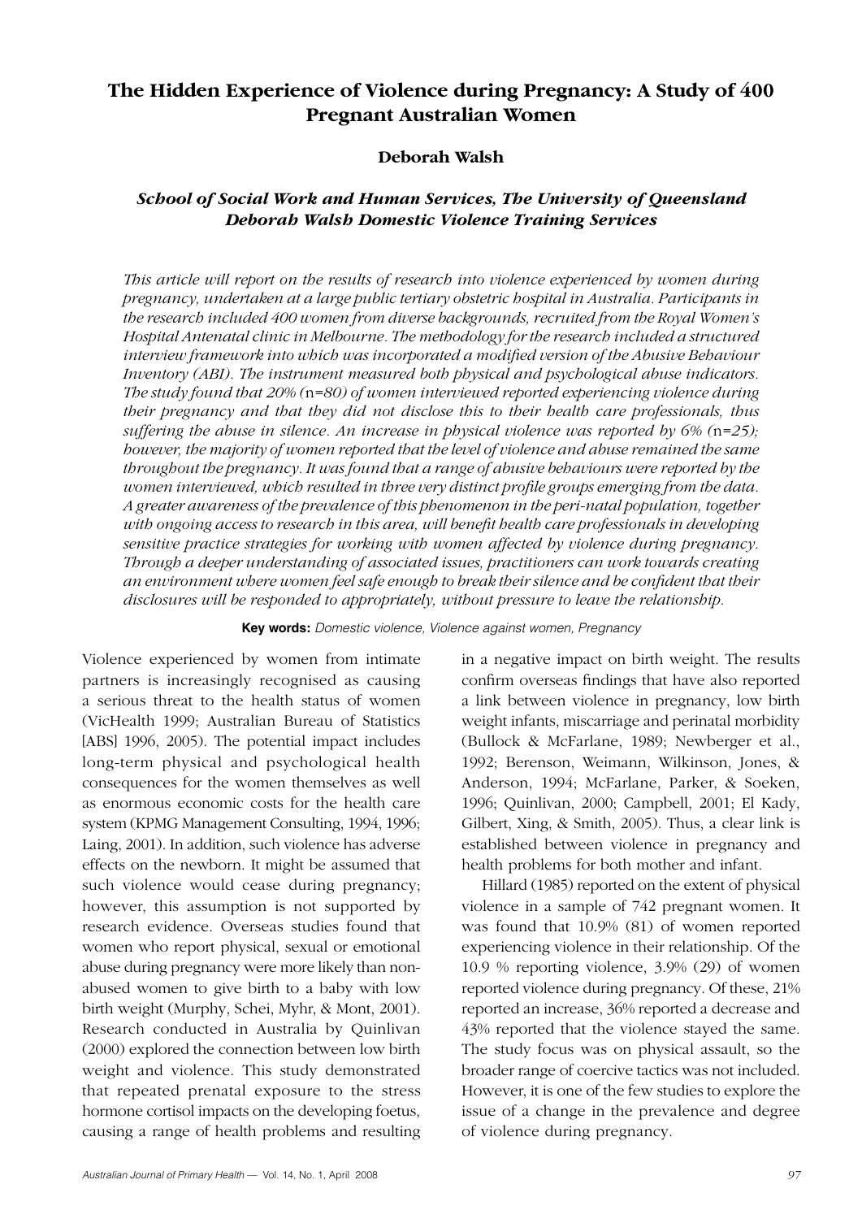## **The Hidden Experience of Violence during Pregnancy: A Study of 400 Pregnant Australian Women**

## **Deborah Walsh**

## *School of Social Work and Human Services, The University of Queensland Deborah Walsh Domestic Violence Training Services*

*This article will report on the results of research into violence experienced by women during pregnancy, undertaken at a large public tertiary obstetric hospital in Australia. Participants in the research included 400 women from diverse backgrounds, recruited from the Royal Women's Hospital Antenatal clinic in Melbourne. The methodology for the research included a structured interview framework into which was incorporated a modified version of the Abusive Behaviour Inventory (ABI). The instrument measured both physical and psychological abuse indicators. The study found that 20% (*n*=80) of women interviewed reported experiencing violence during their pregnancy and that they did not disclose this to their health care professionals, thus suffering the abuse in silence. An increase in physical violence was reported by 6% (*n*=25); however, the majority of women reported that the level of violence and abuse remained the same throughout the pregnancy. It was found that a range of abusive behaviours were reported by the women interviewed, which resulted in three very distinct profile groups emerging from the data. A greater awareness of the prevalence of this phenomenon in the peri-natal population, together with ongoing access to research in this area, will benefit health care professionals in developing sensitive practice strategies for working with women affected by violence during pregnancy. Through a deeper understanding of associated issues, practitioners can work towards creating an environment where women feel safe enough to break their silence and be confident that their disclosures will be responded to appropriately, without pressure to leave the relationship.*

**Key words:** *Domestic violence, Violence against women, Pregnancy*

Violence experienced by women from intimate partners is increasingly recognised as causing a serious threat to the health status of women (VicHealth 1999; Australian Bureau of Statistics [ABS] 1996, 2005). The potential impact includes long-term physical and psychological health consequences for the women themselves as well as enormous economic costs for the health care system (KPMG Management Consulting, 1994, 1996; Laing, 2001). In addition, such violence has adverse effects on the newborn. It might be assumed that such violence would cease during pregnancy; however, this assumption is not supported by research evidence. Overseas studies found that women who report physical, sexual or emotional abuse during pregnancy were more likely than nonabused women to give birth to a baby with low birth weight (Murphy, Schei, Myhr, & Mont, 2001). Research conducted in Australia by Quinlivan (2000) explored the connection between low birth weight and violence. This study demonstrated that repeated prenatal exposure to the stress hormone cortisol impacts on the developing foetus, causing a range of health problems and resulting in a negative impact on birth weight. The results confirm overseas findings that have also reported a link between violence in pregnancy, low birth weight infants, miscarriage and perinatal morbidity (Bullock & McFarlane, 1989; Newberger et al., 1992; Berenson, Weimann, Wilkinson, Jones, & Anderson, 1994; McFarlane, Parker, & Soeken, 1996; Quinlivan, 2000; Campbell, 2001; El Kady, Gilbert, Xing, & Smith, 2005). Thus, a clear link is established between violence in pregnancy and health problems for both mother and infant.

Hillard (1985) reported on the extent of physical violence in a sample of 742 pregnant women. It was found that 10.9% (81) of women reported experiencing violence in their relationship. Of the 10.9 % reporting violence, 3.9% (29) of women reported violence during pregnancy. Of these, 21% reported an increase, 36% reported a decrease and 43% reported that the violence stayed the same. The study focus was on physical assault, so the broader range of coercive tactics was not included. However, it is one of the few studies to explore the issue of a change in the prevalence and degree of violence during pregnancy.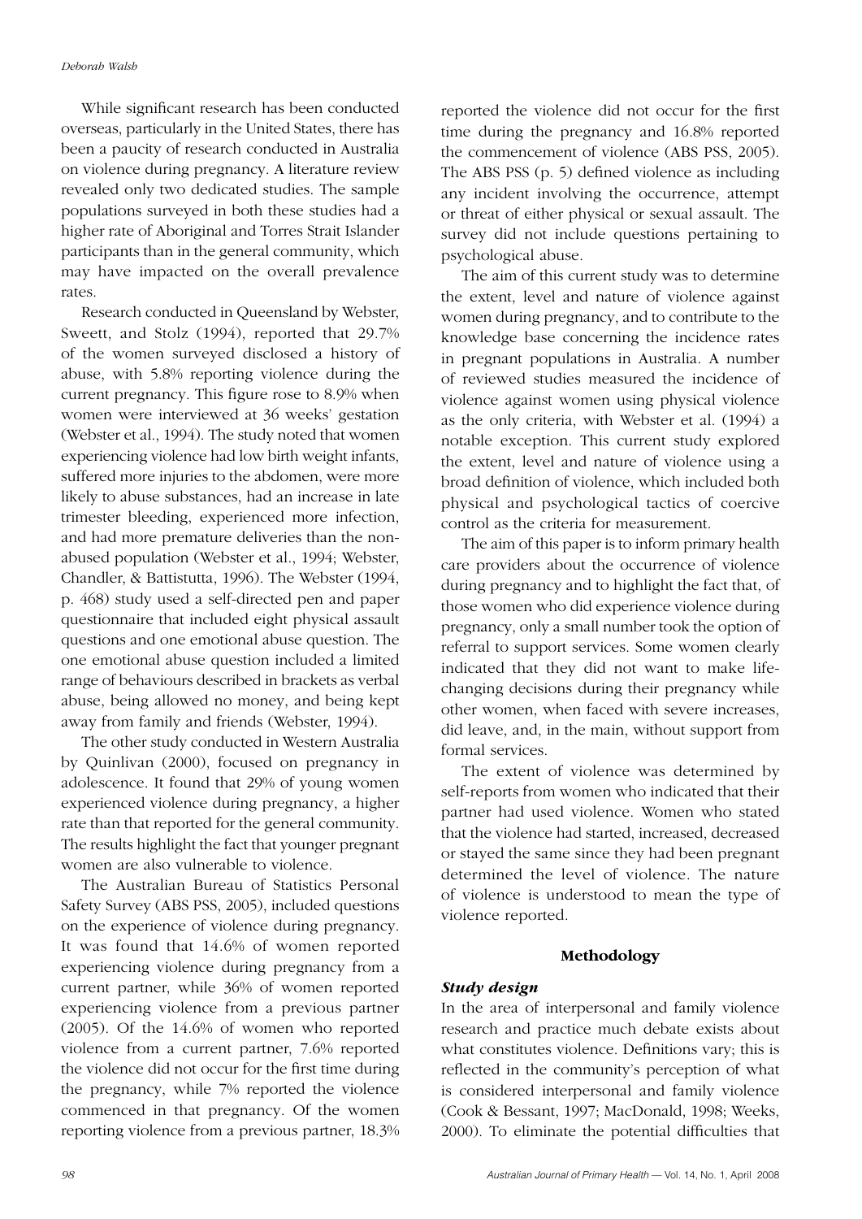While significant research has been conducted overseas, particularly in the United States, there has been a paucity of research conducted in Australia on violence during pregnancy. A literature review revealed only two dedicated studies. The sample populations surveyed in both these studies had a higher rate of Aboriginal and Torres Strait Islander participants than in the general community, which may have impacted on the overall prevalence rates.

Research conducted in Queensland by Webster, Sweett, and Stolz (1994), reported that 29.7% of the women surveyed disclosed a history of abuse, with 5.8% reporting violence during the current pregnancy. This figure rose to 8.9% when women were interviewed at 36 weeks' gestation (Webster et al., 1994). The study noted that women experiencing violence had low birth weight infants, suffered more injuries to the abdomen, were more likely to abuse substances, had an increase in late trimester bleeding, experienced more infection, and had more premature deliveries than the nonabused population (Webster et al., 1994; Webster, Chandler, & Battistutta, 1996). The Webster (1994, p. 468) study used a self-directed pen and paper questionnaire that included eight physical assault questions and one emotional abuse question. The one emotional abuse question included a limited range of behaviours described in brackets as verbal abuse, being allowed no money, and being kept away from family and friends (Webster, 1994).

The other study conducted in Western Australia by Quinlivan (2000), focused on pregnancy in adolescence. It found that 29% of young women experienced violence during pregnancy, a higher rate than that reported for the general community. The results highlight the fact that younger pregnant women are also vulnerable to violence.

The Australian Bureau of Statistics Personal Safety Survey (ABS PSS, 2005), included questions on the experience of violence during pregnancy. It was found that 14.6% of women reported experiencing violence during pregnancy from a current partner, while 36% of women reported experiencing violence from a previous partner (2005). Of the 14.6% of women who reported violence from a current partner, 7.6% reported the violence did not occur for the first time during the pregnancy, while 7% reported the violence commenced in that pregnancy. Of the women reporting violence from a previous partner, 18.3%

reported the violence did not occur for the first time during the pregnancy and 16.8% reported the commencement of violence (ABS PSS, 2005). The ABS PSS (p. 5) defined violence as including any incident involving the occurrence, attempt or threat of either physical or sexual assault. The survey did not include questions pertaining to psychological abuse.

The aim of this current study was to determine the extent, level and nature of violence against women during pregnancy, and to contribute to the knowledge base concerning the incidence rates in pregnant populations in Australia. A number of reviewed studies measured the incidence of violence against women using physical violence as the only criteria, with Webster et al. (1994) a notable exception. This current study explored the extent, level and nature of violence using a broad definition of violence, which included both physical and psychological tactics of coercive control as the criteria for measurement.

The aim of this paper is to inform primary health care providers about the occurrence of violence during pregnancy and to highlight the fact that, of those women who did experience violence during pregnancy, only a small number took the option of referral to support services. Some women clearly indicated that they did not want to make lifechanging decisions during their pregnancy while other women, when faced with severe increases, did leave, and, in the main, without support from formal services.

The extent of violence was determined by self-reports from women who indicated that their partner had used violence. Women who stated that the violence had started, increased, decreased or stayed the same since they had been pregnant determined the level of violence. The nature of violence is understood to mean the type of violence reported.

#### **Methodology**

#### *Study design*

In the area of interpersonal and family violence research and practice much debate exists about what constitutes violence. Definitions vary; this is reflected in the community's perception of what is considered interpersonal and family violence (Cook & Bessant, 1997; MacDonald, 1998; Weeks, 2000). To eliminate the potential difficulties that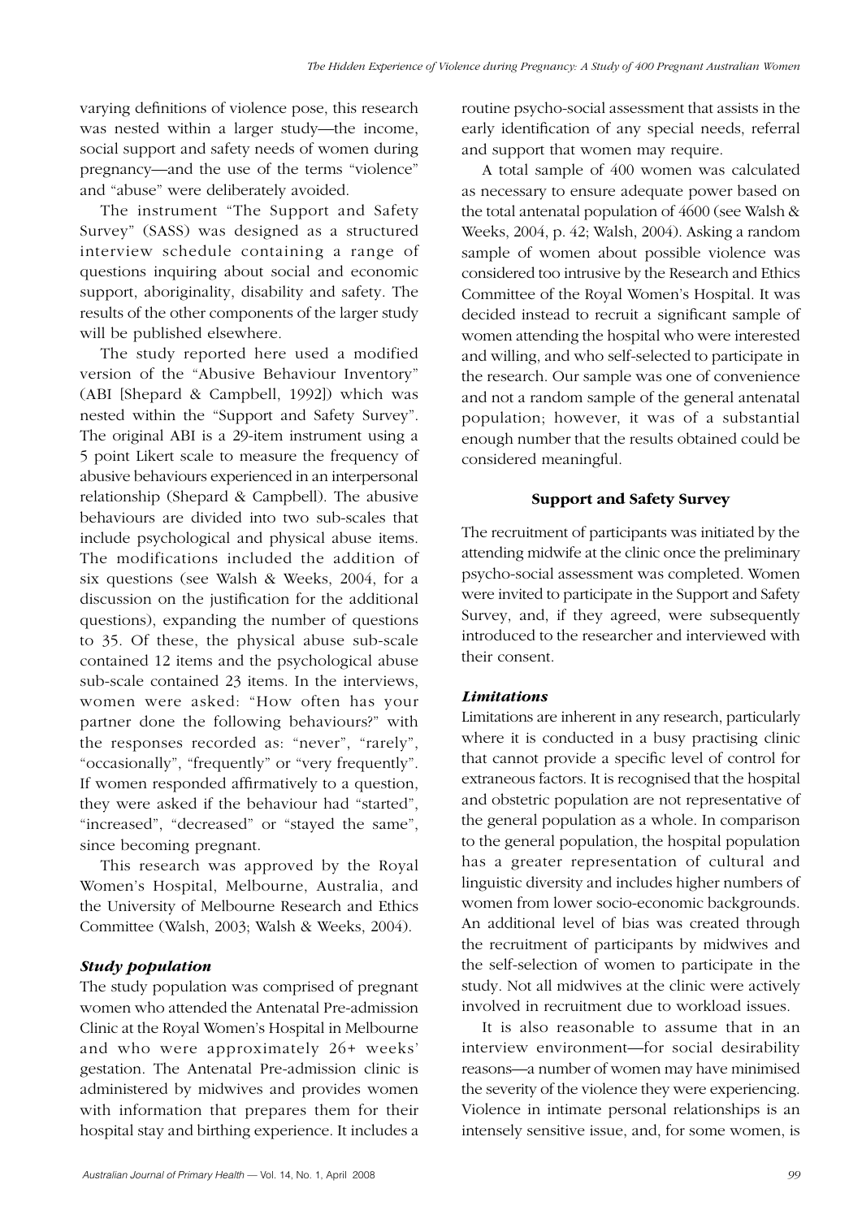varying definitions of violence pose, this research was nested within a larger study—the income, social support and safety needs of women during pregnancy—and the use of the terms "violence" and "abuse" were deliberately avoided.

The instrument "The Support and Safety Survey" (SASS) was designed as a structured interview schedule containing a range of questions inquiring about social and economic support, aboriginality, disability and safety. The results of the other components of the larger study will be published elsewhere.

The study reported here used a modified version of the "Abusive Behaviour Inventory" (ABI [Shepard & Campbell, 1992]) which was nested within the "Support and Safety Survey". The original ABI is a 29-item instrument using a 5 point Likert scale to measure the frequency of abusive behaviours experienced in an interpersonal relationship (Shepard & Campbell). The abusive behaviours are divided into two sub-scales that include psychological and physical abuse items. The modifications included the addition of six questions (see Walsh & Weeks, 2004, for a discussion on the justification for the additional questions), expanding the number of questions to 35. Of these, the physical abuse sub-scale contained 12 items and the psychological abuse sub-scale contained 23 items. In the interviews, women were asked: "How often has your partner done the following behaviours?" with the responses recorded as: "never", "rarely", "occasionally", "frequently" or "very frequently". If women responded affirmatively to a question, they were asked if the behaviour had "started", "increased", "decreased" or "stayed the same", since becoming pregnant.

This research was approved by the Royal Women's Hospital, Melbourne, Australia, and the University of Melbourne Research and Ethics Committee (Walsh, 2003; Walsh & Weeks, 2004).

## *Study population*

The study population was comprised of pregnant women who attended the Antenatal Pre-admission Clinic at the Royal Women's Hospital in Melbourne and who were approximately 26+ weeks' gestation. The Antenatal Pre-admission clinic is administered by midwives and provides women with information that prepares them for their hospital stay and birthing experience. It includes a routine psycho-social assessment that assists in the early identification of any special needs, referral and support that women may require.

A total sample of 400 women was calculated as necessary to ensure adequate power based on the total antenatal population of 4600 (see Walsh & Weeks, 2004, p. 42; Walsh, 2004). Asking a random sample of women about possible violence was considered too intrusive by the Research and Ethics Committee of the Royal Women's Hospital. It was decided instead to recruit a significant sample of women attending the hospital who were interested and willing, and who self-selected to participate in the research. Our sample was one of convenience and not a random sample of the general antenatal population; however, it was of a substantial enough number that the results obtained could be considered meaningful.

#### **Support and Safety Survey**

The recruitment of participants was initiated by the attending midwife at the clinic once the preliminary psycho-social assessment was completed. Women were invited to participate in the Support and Safety Survey, and, if they agreed, were subsequently introduced to the researcher and interviewed with their consent.

## *Limitations*

Limitations are inherent in any research, particularly where it is conducted in a busy practising clinic that cannot provide a specific level of control for extraneous factors. It is recognised that the hospital and obstetric population are not representative of the general population as a whole. In comparison to the general population, the hospital population has a greater representation of cultural and linguistic diversity and includes higher numbers of women from lower socio-economic backgrounds. An additional level of bias was created through the recruitment of participants by midwives and the self-selection of women to participate in the study. Not all midwives at the clinic were actively involved in recruitment due to workload issues.

It is also reasonable to assume that in an interview environment—for social desirability reasons—a number of women may have minimised the severity of the violence they were experiencing. Violence in intimate personal relationships is an intensely sensitive issue, and, for some women, is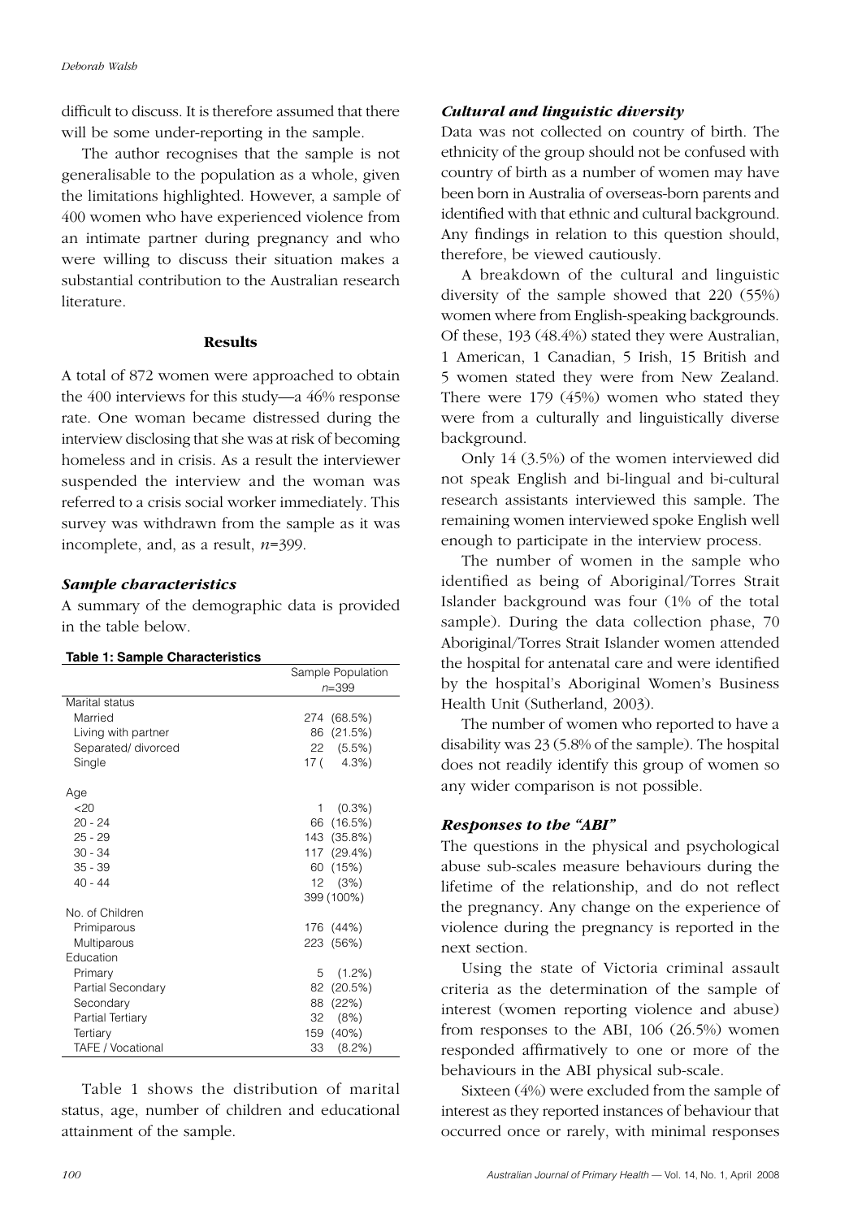difficult to discuss. It is therefore assumed that there will be some under-reporting in the sample.

The author recognises that the sample is not generalisable to the population as a whole, given the limitations highlighted. However, a sample of 400 women who have experienced violence from an intimate partner during pregnancy and who were willing to discuss their situation makes a substantial contribution to the Australian research literature.

#### **Results**

A total of 872 women were approached to obtain the 400 interviews for this study—a 46% response rate. One woman became distressed during the interview disclosing that she was at risk of becoming homeless and in crisis. As a result the interviewer suspended the interview and the woman was referred to a crisis social worker immediately. This survey was withdrawn from the sample as it was incomplete, and, as a result, *n*=399.

### *Sample characteristics*

A summary of the demographic data is provided in the table below.

|  |  | <b>Table 1: Sample Characteristics</b> |
|--|--|----------------------------------------|
|  |  |                                        |

|                          | Sample Population |             |  |
|--------------------------|-------------------|-------------|--|
|                          |                   | $n = 399$   |  |
| Marital status           |                   |             |  |
| Married                  |                   | 274 (68.5%) |  |
| Living with partner      |                   | 86 (21.5%)  |  |
| Separated/ divorced      |                   | 22 (5.5%)   |  |
| Single                   |                   | $17(4.3\%)$ |  |
| Age                      |                   |             |  |
| <20                      | 1                 | $(0.3\%)$   |  |
| $20 - 24$                |                   | 66 (16.5%)  |  |
| $25 - 29$                |                   | 143 (35.8%) |  |
| $30 - 34$                |                   | 117 (29.4%) |  |
| $35 - 39$                |                   | 60 (15%)    |  |
| $40 - 44$                |                   | 12(3%)      |  |
|                          |                   | 399 (100%)  |  |
| No. of Children          |                   |             |  |
| Primiparous              |                   | 176 (44%)   |  |
| Multiparous              |                   | 223 (56%)   |  |
| Education                |                   |             |  |
| Primary                  |                   | $5(1.2\%)$  |  |
| Partial Secondary        |                   | 82 (20.5%)  |  |
| Secondary                |                   | 88 (22%)    |  |
| Partial Tertiary         |                   | 32 (8%)     |  |
| Tertiary                 |                   | 159 (40%)   |  |
| <b>TAFE / Vocational</b> |                   | 33 (8.2%)   |  |

Table 1 shows the distribution of marital status, age, number of children and educational attainment of the sample.

### *Cultural and linguistic diversity*

Data was not collected on country of birth. The ethnicity of the group should not be confused with country of birth as a number of women may have been born in Australia of overseas-born parents and identified with that ethnic and cultural background. Any findings in relation to this question should, therefore, be viewed cautiously.

A breakdown of the cultural and linguistic diversity of the sample showed that 220 (55%) women where from English-speaking backgrounds. Of these, 193 (48.4%) stated they were Australian, 1 American, 1 Canadian, 5 Irish, 15 British and 5 women stated they were from New Zealand. There were 179 (45%) women who stated they were from a culturally and linguistically diverse background.

Only 14 (3.5%) of the women interviewed did not speak English and bi-lingual and bi-cultural research assistants interviewed this sample. The remaining women interviewed spoke English well enough to participate in the interview process.

The number of women in the sample who identified as being of Aboriginal/Torres Strait Islander background was four (1% of the total sample). During the data collection phase, 70 Aboriginal/Torres Strait Islander women attended the hospital for antenatal care and were identified by the hospital's Aboriginal Women's Business Health Unit (Sutherland, 2003).

The number of women who reported to have a disability was 23 (5.8% of the sample). The hospital does not readily identify this group of women so any wider comparison is not possible.

#### *Responses to the "ABI"*

The questions in the physical and psychological abuse sub-scales measure behaviours during the lifetime of the relationship, and do not reflect the pregnancy. Any change on the experience of violence during the pregnancy is reported in the next section.

Using the state of Victoria criminal assault criteria as the determination of the sample of interest (women reporting violence and abuse) from responses to the ABI, 106 (26.5%) women responded affirmatively to one or more of the behaviours in the ABI physical sub-scale.

Sixteen (4%) were excluded from the sample of interest as they reported instances of behaviour that occurred once or rarely, with minimal responses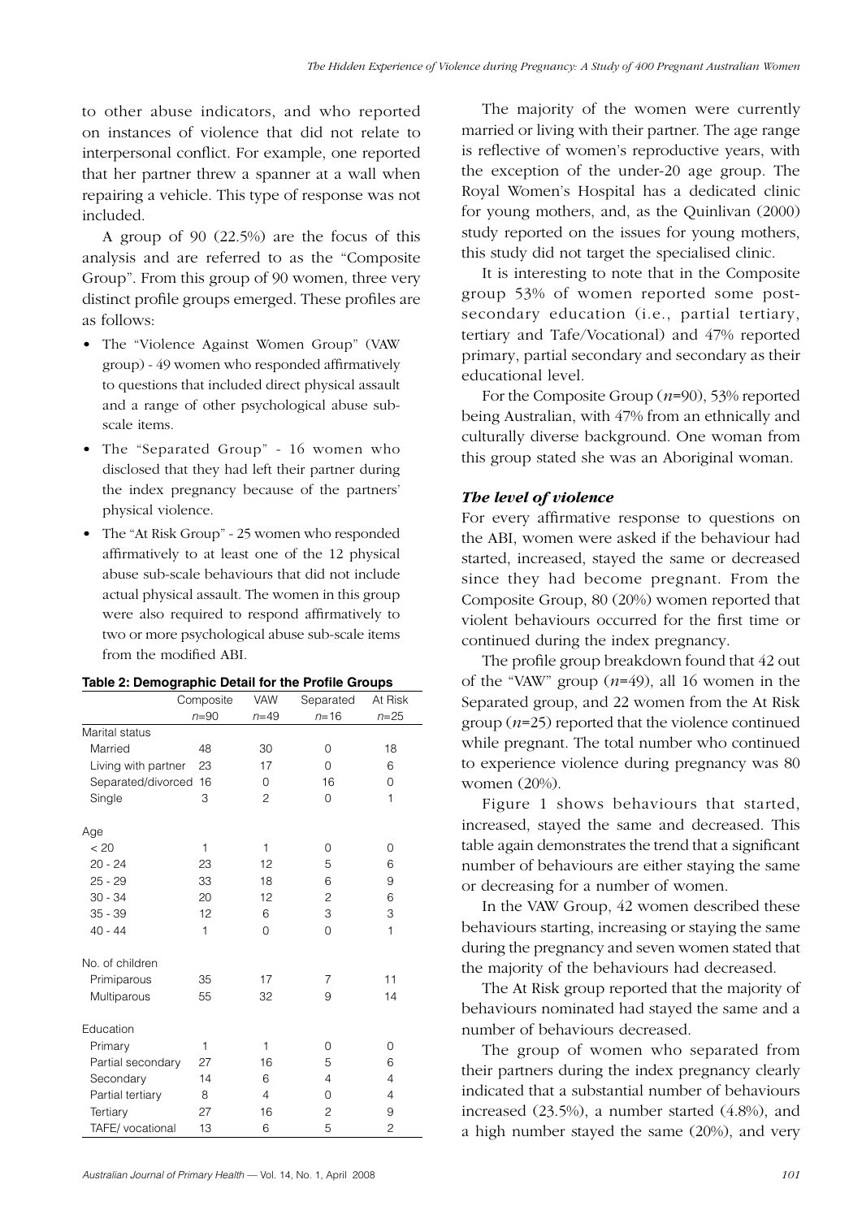to other abuse indicators, and who reported on instances of violence that did not relate to interpersonal conflict. For example, one reported that her partner threw a spanner at a wall when repairing a vehicle. This type of response was not included.

A group of 90 (22.5%) are the focus of this analysis and are referred to as the "Composite Group". From this group of 90 women, three very distinct profile groups emerged. These profiles are as follows:

- The "Violence Against Women Group" (VAW group) - 49 women who responded affirmatively to questions that included direct physical assault and a range of other psychological abuse subscale items.
- The "Separated Group" 16 women who disclosed that they had left their partner during the index pregnancy because of the partners' physical violence.
- The "At Risk Group" 25 women who responded affirmatively to at least one of the 12 physical abuse sub-scale behaviours that did not include actual physical assault. The women in this group were also required to respond affirmatively to two or more psychological abuse sub-scale items from the modified ABI.

|                          | Composite    | <b>VAW</b>     | Separated | At Risk        |
|--------------------------|--------------|----------------|-----------|----------------|
|                          | $n = 90$     | $n = 49$       | $n = 16$  | $n = 25$       |
| Marital status           |              |                |           |                |
| Married                  | 48           | 30             | 0         | 18             |
| Living with partner      | 23           | 17             | 0         | 6              |
| Separated/divorced<br>16 |              | 0              | 16        | 0              |
| Single                   | 3            | $\overline{c}$ | 0         | 1              |
| Age                      |              |                |           |                |
| < 20                     | 1            | $\mathbf{1}$   | 0         | 0              |
| 20 - 24                  | 23           | 12             | 5         | 6              |
| $25 - 29$                | 33           | 18             | 6         | 9              |
| $30 - 34$                | 20           | 12             | 2         | 6              |
| $35 - 39$                | 12           | 6              | 3         | 3              |
| $40 - 44$                | $\mathbf{1}$ | $\Omega$       | 0         | 1              |
| No. of children          |              |                |           |                |
| Primiparous              | 35           | 17             | 7         | 11             |
| Multiparous              | 55           | 32             | 9         | 14             |
| Education                |              |                |           |                |
| Primary                  | $\mathbf{1}$ | $\mathbf{1}$   | 0         | $\overline{0}$ |
| Partial secondary        | 27           | 16             | 5         | 6              |
| Secondary                | 14           | 6              | 4         | 4              |
| Partial tertiary         | 8            | $\overline{4}$ | 0         | 4              |
| Tertiary                 | 27           | 16             | 2         | 9              |
| TAFE/ vocational         | 13           | 6              | 5         | $\overline{c}$ |

The majority of the women were currently married or living with their partner. The age range is reflective of women's reproductive years, with the exception of the under-20 age group. The Royal Women's Hospital has a dedicated clinic for young mothers, and, as the Quinlivan (2000) study reported on the issues for young mothers, this study did not target the specialised clinic.

It is interesting to note that in the Composite group 53% of women reported some postsecondary education (i.e., partial tertiary, tertiary and Tafe/Vocational) and 47% reported primary, partial secondary and secondary as their educational level.

For the Composite Group (*n*=90), 53% reported being Australian, with 47% from an ethnically and culturally diverse background. One woman from this group stated she was an Aboriginal woman.

## *The level of violence*

For every affirmative response to questions on the ABI, women were asked if the behaviour had started, increased, stayed the same or decreased since they had become pregnant. From the Composite Group, 80 (20%) women reported that violent behaviours occurred for the first time or continued during the index pregnancy.

The profile group breakdown found that 42 out of the "VAW" group (*n*=49), all 16 women in the Separated group, and 22 women from the At Risk group (*n*=25) reported that the violence continued while pregnant. The total number who continued to experience violence during pregnancy was 80 women (20%).

Figure 1 shows behaviours that started, increased, stayed the same and decreased. This table again demonstrates the trend that a significant number of behaviours are either staying the same or decreasing for a number of women.

In the VAW Group, 42 women described these behaviours starting, increasing or staying the same during the pregnancy and seven women stated that the majority of the behaviours had decreased.

The At Risk group reported that the majority of behaviours nominated had stayed the same and a number of behaviours decreased.

The group of women who separated from their partners during the index pregnancy clearly indicated that a substantial number of behaviours increased (23.5%), a number started (4.8%), and a high number stayed the same (20%), and very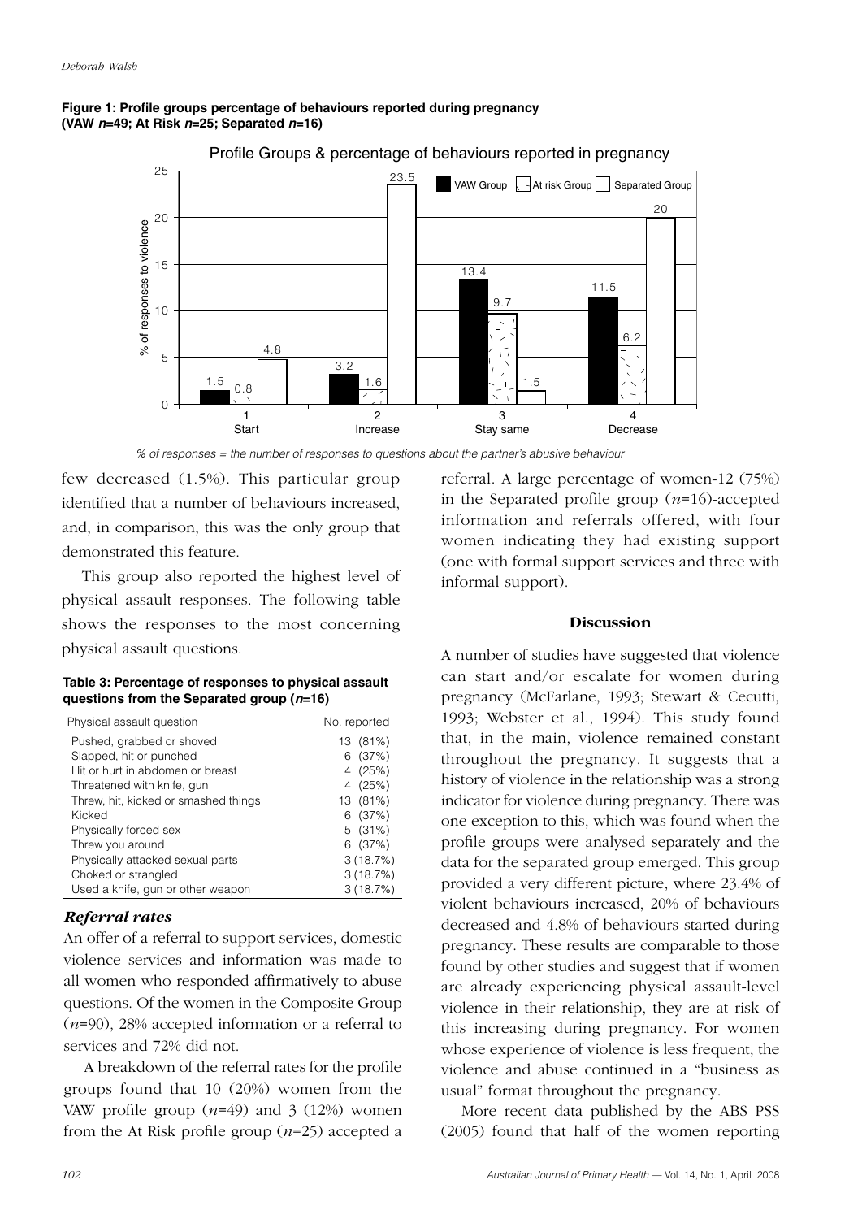



Profile Groups & percentage of behaviours reported in pregnancy



few decreased (1.5%). This particular group identified that a number of behaviours increased, and, in comparison, this was the only group that demonstrated this feature.

This group also reported the highest level of physical assault responses. The following table shows the responses to the most concerning physical assault questions.

| Table 3: Percentage of responses to physical assault |
|------------------------------------------------------|
| questions from the Separated group $(n=16)$          |

| Physical assault question            | No. reported |
|--------------------------------------|--------------|
| Pushed, grabbed or shoved            | 13 (81%)     |
| Slapped, hit or punched              | 6(37%)       |
| Hit or hurt in abdomen or breast     | 4 (25%)      |
| Threatened with knife, gun           | 4 (25%)      |
| Threw, hit, kicked or smashed things | 13 (81%)     |
| Kicked                               | 6(37%)       |
| Physically forced sex                | 5(31%)       |
| Threw you around                     | 6(37%)       |
| Physically attacked sexual parts     | 3(18.7%)     |
| Choked or strangled                  | 3(18.7%)     |
| Used a knife, gun or other weapon    | 3(18.7%)     |
|                                      |              |

### *Referral rates*

An offer of a referral to support services, domestic violence services and information was made to all women who responded affirmatively to abuse questions. Of the women in the Composite Group (*n*=90), 28% accepted information or a referral to services and 72% did not.

A breakdown of the referral rates for the profile groups found that 10 (20%) women from the VAW profile group  $(n=49)$  and 3 (12%) women from the At Risk profile group (*n*=25) accepted a referral. A large percentage of women-12 (75%) in the Separated profile group (*n*=16)-accepted information and referrals offered, with four women indicating they had existing support (one with formal support services and three with informal support).

#### **Discussion**

A number of studies have suggested that violence can start and/or escalate for women during pregnancy (McFarlane, 1993; Stewart & Cecutti, 1993; Webster et al., 1994). This study found that, in the main, violence remained constant throughout the pregnancy. It suggests that a history of violence in the relationship was a strong indicator for violence during pregnancy. There was one exception to this, which was found when the profile groups were analysed separately and the data for the separated group emerged. This group provided a very different picture, where 23.4% of violent behaviours increased, 20% of behaviours decreased and 4.8% of behaviours started during pregnancy. These results are comparable to those found by other studies and suggest that if women are already experiencing physical assault-level violence in their relationship, they are at risk of this increasing during pregnancy. For women whose experience of violence is less frequent, the violence and abuse continued in a "business as usual" format throughout the pregnancy.

More recent data published by the ABS PSS (2005) found that half of the women reporting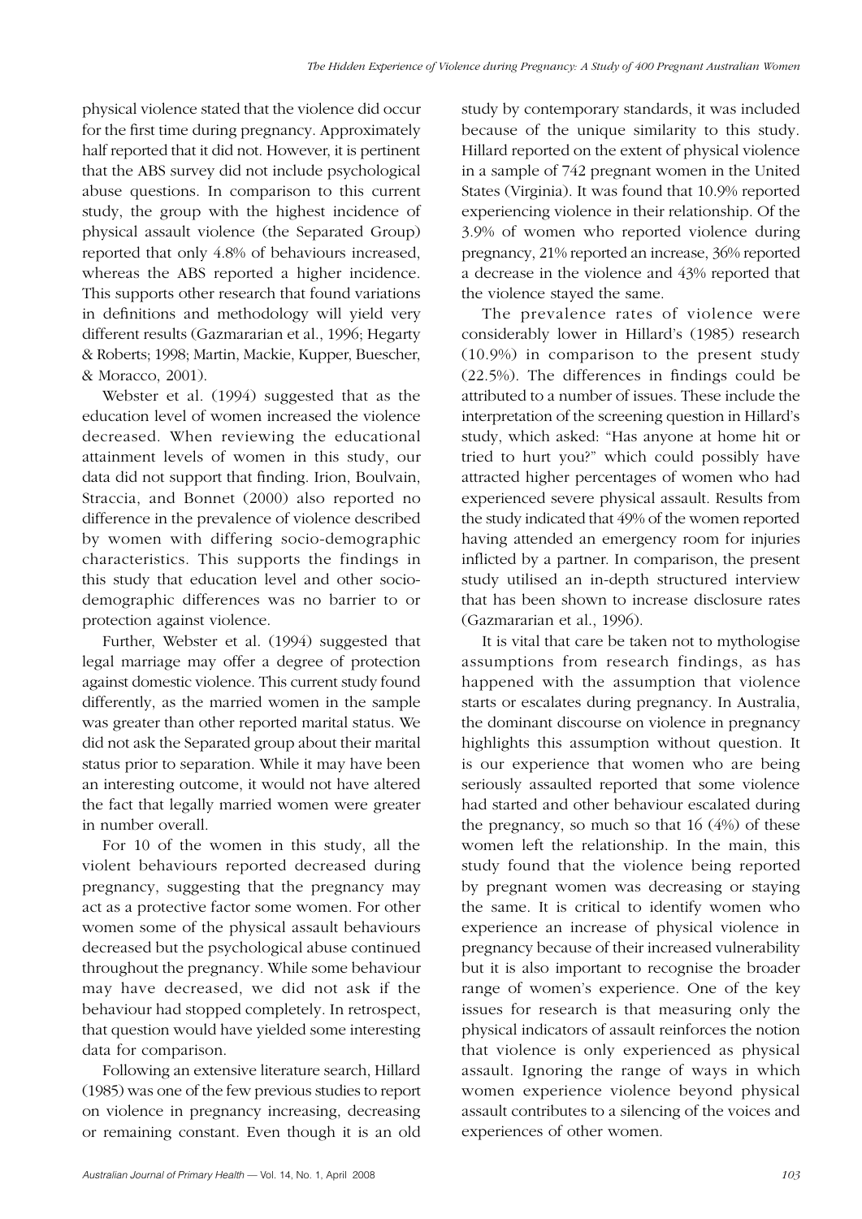physical violence stated that the violence did occur for the first time during pregnancy. Approximately half reported that it did not. However, it is pertinent that the ABS survey did not include psychological abuse questions. In comparison to this current study, the group with the highest incidence of physical assault violence (the Separated Group) reported that only 4.8% of behaviours increased, whereas the ABS reported a higher incidence. This supports other research that found variations in definitions and methodology will yield very different results (Gazmararian et al., 1996; Hegarty & Roberts; 1998; Martin, Mackie, Kupper, Buescher, & Moracco, 2001).

Webster et al. (1994) suggested that as the education level of women increased the violence decreased. When reviewing the educational attainment levels of women in this study, our data did not support that finding. Irion, Boulvain, Straccia, and Bonnet (2000) also reported no difference in the prevalence of violence described by women with differing socio-demographic characteristics. This supports the findings in this study that education level and other sociodemographic differences was no barrier to or protection against violence.

Further, Webster et al. (1994) suggested that legal marriage may offer a degree of protection against domestic violence. This current study found differently, as the married women in the sample was greater than other reported marital status. We did not ask the Separated group about their marital status prior to separation. While it may have been an interesting outcome, it would not have altered the fact that legally married women were greater in number overall.

For 10 of the women in this study, all the violent behaviours reported decreased during pregnancy, suggesting that the pregnancy may act as a protective factor some women. For other women some of the physical assault behaviours decreased but the psychological abuse continued throughout the pregnancy. While some behaviour may have decreased, we did not ask if the behaviour had stopped completely. In retrospect, that question would have yielded some interesting data for comparison.

Following an extensive literature search, Hillard (1985) was one of the few previous studies to report on violence in pregnancy increasing, decreasing or remaining constant. Even though it is an old study by contemporary standards, it was included because of the unique similarity to this study. Hillard reported on the extent of physical violence in a sample of 742 pregnant women in the United States (Virginia). It was found that 10.9% reported experiencing violence in their relationship. Of the 3.9% of women who reported violence during pregnancy, 21% reported an increase, 36% reported a decrease in the violence and 43% reported that the violence stayed the same.

The prevalence rates of violence were considerably lower in Hillard's (1985) research (10.9%) in comparison to the present study (22.5%). The differences in findings could be attributed to a number of issues. These include the interpretation of the screening question in Hillard's study, which asked: "Has anyone at home hit or tried to hurt you?" which could possibly have attracted higher percentages of women who had experienced severe physical assault. Results from the study indicated that 49% of the women reported having attended an emergency room for injuries inflicted by a partner. In comparison, the present study utilised an in-depth structured interview that has been shown to increase disclosure rates (Gazmararian et al., 1996).

It is vital that care be taken not to mythologise assumptions from research findings, as has happened with the assumption that violence starts or escalates during pregnancy. In Australia, the dominant discourse on violence in pregnancy highlights this assumption without question. It is our experience that women who are being seriously assaulted reported that some violence had started and other behaviour escalated during the pregnancy, so much so that 16 (4%) of these women left the relationship. In the main, this study found that the violence being reported by pregnant women was decreasing or staying the same. It is critical to identify women who experience an increase of physical violence in pregnancy because of their increased vulnerability but it is also important to recognise the broader range of women's experience. One of the key issues for research is that measuring only the physical indicators of assault reinforces the notion that violence is only experienced as physical assault. Ignoring the range of ways in which women experience violence beyond physical assault contributes to a silencing of the voices and experiences of other women.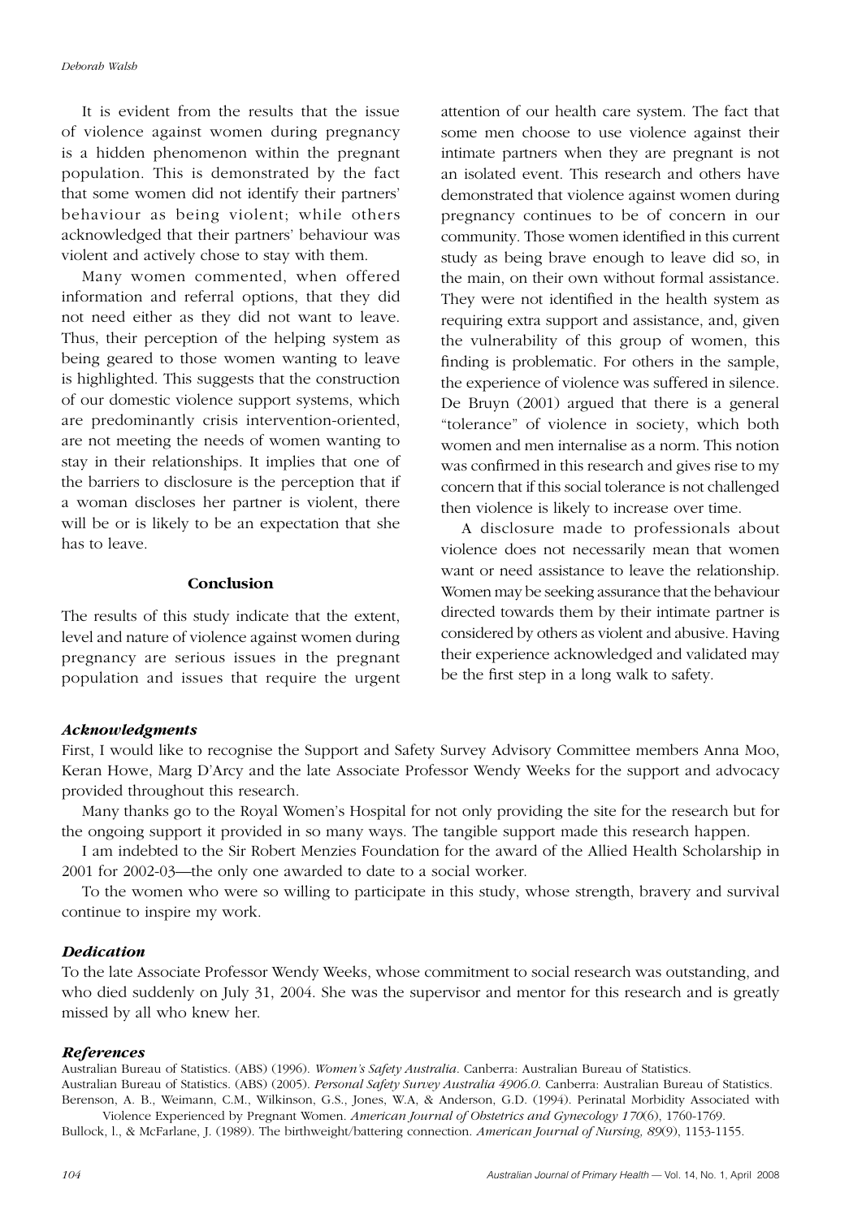It is evident from the results that the issue of violence against women during pregnancy is a hidden phenomenon within the pregnant population. This is demonstrated by the fact that some women did not identify their partners' behaviour as being violent; while others acknowledged that their partners' behaviour was violent and actively chose to stay with them.

Many women commented, when offered information and referral options, that they did not need either as they did not want to leave. Thus, their perception of the helping system as being geared to those women wanting to leave is highlighted. This suggests that the construction of our domestic violence support systems, which are predominantly crisis intervention-oriented, are not meeting the needs of women wanting to stay in their relationships. It implies that one of the barriers to disclosure is the perception that if a woman discloses her partner is violent, there will be or is likely to be an expectation that she has to leave.

#### **Conclusion**

The results of this study indicate that the extent, level and nature of violence against women during pregnancy are serious issues in the pregnant population and issues that require the urgent attention of our health care system. The fact that some men choose to use violence against their intimate partners when they are pregnant is not an isolated event. This research and others have demonstrated that violence against women during pregnancy continues to be of concern in our community. Those women identified in this current study as being brave enough to leave did so, in the main, on their own without formal assistance. They were not identified in the health system as requiring extra support and assistance, and, given the vulnerability of this group of women, this finding is problematic. For others in the sample, the experience of violence was suffered in silence. De Bruyn (2001) argued that there is a general "tolerance" of violence in society, which both women and men internalise as a norm. This notion was confirmed in this research and gives rise to my concern that if this social tolerance is not challenged then violence is likely to increase over time.

A disclosure made to professionals about violence does not necessarily mean that women want or need assistance to leave the relationship. Women may be seeking assurance that the behaviour directed towards them by their intimate partner is considered by others as violent and abusive. Having their experience acknowledged and validated may be the first step in a long walk to safety.

#### *Acknowledgments*

First, I would like to recognise the Support and Safety Survey Advisory Committee members Anna Moo, Keran Howe, Marg D'Arcy and the late Associate Professor Wendy Weeks for the support and advocacy provided throughout this research.

Many thanks go to the Royal Women's Hospital for not only providing the site for the research but for the ongoing support it provided in so many ways. The tangible support made this research happen.

I am indebted to the Sir Robert Menzies Foundation for the award of the Allied Health Scholarship in 2001 for 2002-03—the only one awarded to date to a social worker.

To the women who were so willing to participate in this study, whose strength, bravery and survival continue to inspire my work.

#### *Dedication*

To the late Associate Professor Wendy Weeks, whose commitment to social research was outstanding, and who died suddenly on July 31, 2004. She was the supervisor and mentor for this research and is greatly missed by all who knew her.

#### *References*

Australian Bureau of Statistics. (ABS) (1996). *Women's Safety Australia*. Canberra: Australian Bureau of Statistics. Australian Bureau of Statistics. (ABS) (2005). *Personal Safety Survey Australia 4906.0*. Canberra: Australian Bureau of Statistics. Berenson, A. B., Weimann, C.M., Wilkinson, G.S., Jones, W.A, & Anderson, G.D. (1994). Perinatal Morbidity Associated with Violence Experienced by Pregnant Women. *American Journal of Obstetrics and Gynecology 170*(6), 1760-1769.

Bullock, l., & McFarlane, J. (1989). The birthweight/battering connection. *American Journal of Nursing, 89*(9), 1153-1155.